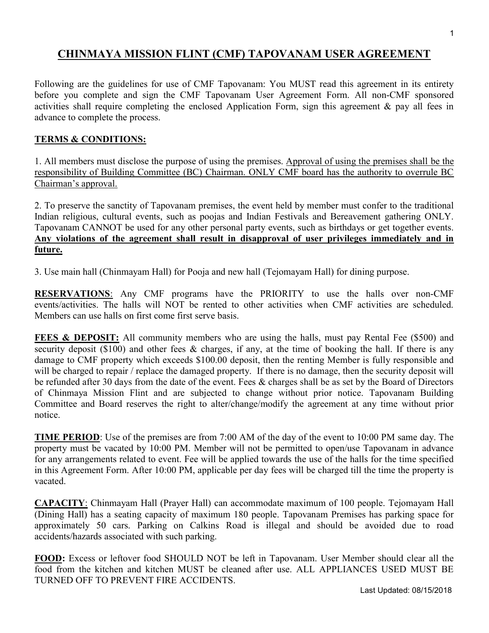## CHINMAYA MISSION FLINT (CMF) TAPOVANAM USER AGREEMENT

Following are the guidelines for use of CMF Tapovanam: You MUST read this agreement in its entirety before you complete and sign the CMF Tapovanam User Agreement Form. All non-CMF sponsored activities shall require completing the enclosed Application Form, sign this agreement & pay all fees in advance to complete the process.

## TERMS & CONDITIONS:

1. All members must disclose the purpose of using the premises. Approval of using the premises shall be the responsibility of Building Committee (BC) Chairman. ONLY CMF board has the authority to overrule BC Chairman's approval.

2. To preserve the sanctity of Tapovanam premises, the event held by member must confer to the traditional Indian religious, cultural events, such as poojas and Indian Festivals and Bereavement gathering ONLY. Tapovanam CANNOT be used for any other personal party events, such as birthdays or get together events. Any violations of the agreement shall result in disapproval of user privileges immediately and in future.

3. Use main hall (Chinmayam Hall) for Pooja and new hall (Tejomayam Hall) for dining purpose.

RESERVATIONS: Any CMF programs have the PRIORITY to use the halls over non-CMF events/activities. The halls will NOT be rented to other activities when CMF activities are scheduled. Members can use halls on first come first serve basis.

FEES & DEPOSIT: All community members who are using the halls, must pay Rental Fee (\$500) and security deposit (\$100) and other fees & charges, if any, at the time of booking the hall. If there is any damage to CMF property which exceeds \$100.00 deposit, then the renting Member is fully responsible and will be charged to repair / replace the damaged property. If there is no damage, then the security deposit will be refunded after 30 days from the date of the event. Fees & charges shall be as set by the Board of Directors of Chinmaya Mission Flint and are subjected to change without prior notice. Tapovanam Building Committee and Board reserves the right to alter/change/modify the agreement at any time without prior notice.

TIME PERIOD: Use of the premises are from 7:00 AM of the day of the event to 10:00 PM same day. The property must be vacated by 10:00 PM. Member will not be permitted to open/use Tapovanam in advance for any arrangements related to event. Fee will be applied towards the use of the halls for the time specified in this Agreement Form. After 10:00 PM, applicable per day fees will be charged till the time the property is vacated.

CAPACITY: Chinmayam Hall (Prayer Hall) can accommodate maximum of 100 people. Tejomayam Hall (Dining Hall) has a seating capacity of maximum 180 people. Tapovanam Premises has parking space for approximately 50 cars. Parking on Calkins Road is illegal and should be avoided due to road accidents/hazards associated with such parking.

FOOD: Excess or leftover food SHOULD NOT be left in Tapovanam. User Member should clear all the food from the kitchen and kitchen MUST be cleaned after use. ALL APPLIANCES USED MUST BE TURNED OFF TO PREVENT FIRE ACCIDENTS.